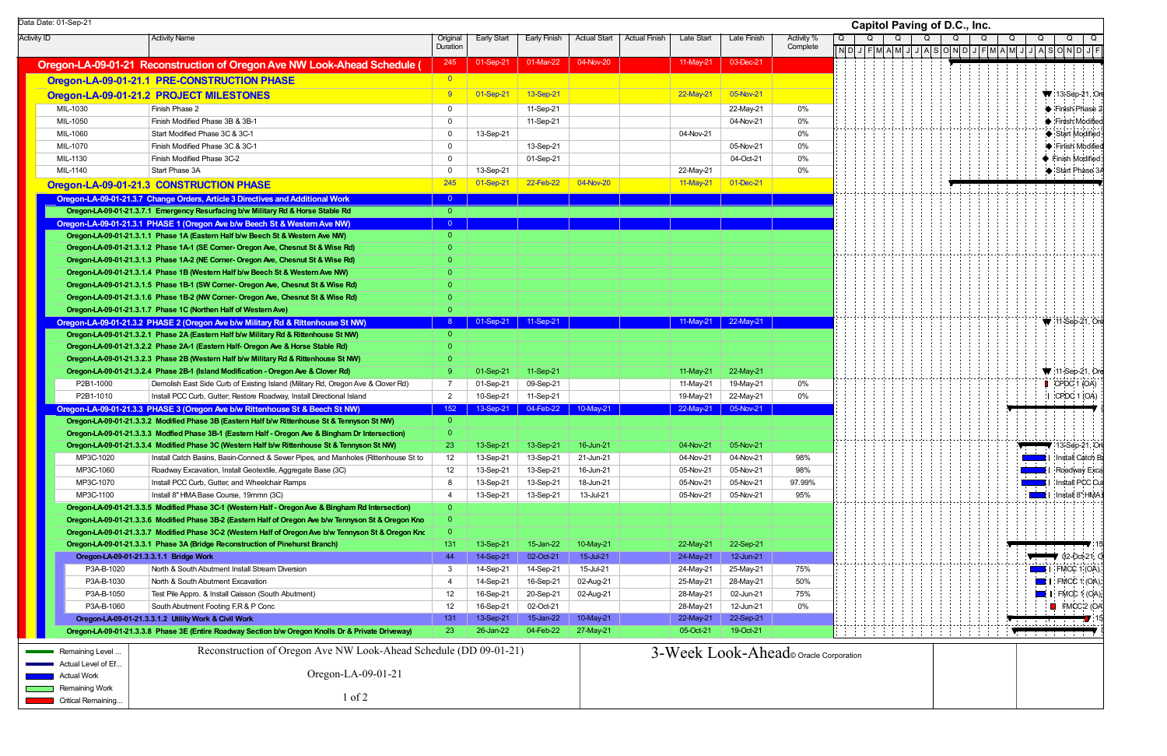Activity ID | Activity Name | Original Duration Early Start Early Finish Actual Start Actual Finish Late Start Late Finish Activity % Complete **Oregon-LA-09-01-21 Reconstruction of Oregon Ave NW Look-Ahead Schedule (**  $\begin{bmatrix} 245 & 01\text{-Sep-21} & 01\text{-Mar-22} & 04\text{-Nov-20} \end{bmatrix}$  11-May-21 03-Dec-21 **Oregon-LA-09-01-21.1 PRE-CONSTRUCTION PHASE Oregon-LA-09-01-21.2 PROJECT MILESTONES** 8 01-01-Sep-21 13-Sep-21 3-Sep-21 22-May-21 22-May-21 05-Nov-21 MIL-1030 Finish Phase 2 0 11-Sep-21 22-May-21 0% MIL-1050 Finish Modified Phase 3B & 3B-1 0 11-Sep-21 04-Nov-21 0% MIL-1060 Start Modified Phase 3C & 3C-1 0 13-Sep-21 04-Nov-21 0% MIL-1070 Finish Modified Phase 3C & 3C-1 0 13-Sep-21 05-Nov-21 0% MIL-1130Finish Modified Phase 3C-2 0 01-Sep-21 04-Oct-21 0% MIL-1140 Start Phase 3AA 0 13-Sep-21 22-May-21 0% **Oregon-LA-09-01-21.3 CONSTRUCTION PHASE** 245 245 01-Sep-21 22-Feb-22 04-Nov-20 11-May-21 11-May-21 01-Dec-21 **Oregon-LA-09-01-21.3.7 Change Orders, Article 3 Directives and Additional Work CHA-00-00 Oregon-LA-09-01-21.3. Oregon-LA-09-01-21.3.7.1 Emergency Resurfacing b/w M 7 ilitary Rd & Horse Stable Rd** 0 **Oregon-LA-09-01-21.3.1 PHASE 1 (Oregon Ave b/w Beech St & Western Ave NW)** <sup>0</sup> **Oregon-LA-09-01-21.3.1.1 Phase 1A (Eastern Half b/w Beech St & Western Ave NW) Oregon-LA-09-01-21.3.1.2 Phase 1A-1 (SE Corner- Oregon Ave, Chesnut St & Wise Rd) Oregon-LA-09-01-21.3.1.3 Phase 1A-2 (NE Corner- Oregon Ave, Chesnut St & Wise Rd) Oregon-LA-09-01-21.3.1.4 Phase 1B (Western Half b/w Beech St & Western Ave NW) Oregon-LA-09-01-21.3.1.5 Phase 1B-1 (SW Corner- Oregon Ave, Chesnut St & Wise Rd) Oregon-LA-09-01-21.3.1.6 Phase 1B-2 (NW Corner- Oregon Ave, Chesnut St & Wise Rd) Oregon-LA-09-01-21.3.1.7 Phase 1C (Northen Half of Western Ave) Oregon-LA-09-01-21.3.2 PHASE 2 (Oregon Ave b/w Military Rd & Rittenhouse St NW)** <sup>8</sup> 01-Sep-21 11-Sep-21 11-May-21 22-May-21 **Oregon-LA-09-01-21.3.2.1 Phase 2A (Eastern Half b/w Military Rd & Rittenhouse St NW) Oregon-LA-09-01-21.3.2.2 Phase 2A-1 (Eastern Half- Oregon Ave & Horse Stable Rd) Oregon-LA-09-01-21.3.2.3 Phase 2B (Western Half b/w Military Rd & Rittenhouse St NW) Oregon-LA-09-01-21.3.2.4 Phase 2B-1 (Island Modification - Oregon Ave & Clover Rd)** 9 01-Sep-21 11-Sep-21 11-Sep-21 11-Sep-21 11-May-21 22-May-21 22-May-21 P2B1-1000Demolish East Side Curb of Existing Island (Military Rd, Oregon Ave & Clover Rd) 7 01-Sep-21 09-Sep-21 11-May-21 11-May-21 19-May-21 0% P2B1-1010Install PCC Curb, Gutter; Restore Roadway, Install Directional Island 2 10-Sep-21 11-Sep-21 11-Sep-21 19-May-21 22-May-21 0% **Oregon-LA-09-01-21.3.3 PHASE 3 (Oregon Ave b/w Rittenhouse St & Beech St NW)** 152 13-Sep-21 04-Feb-22 10-May-21 22-May-21 22-May-21 35-Nov-21 **Oregon-LA-09-01-21.3.3.2 Modified Phase 3B (Eastern Half b/w Rittenhouse St & Tennyson St NW)** 0 **Oregon-LA-09-01-21.3.3.3 Modfied Phase 3B-1 (Eastern Half - Oregon Ave & Bingham Dr Intersection) Oregon-LA-09-01-21.3.3.4 Modified Phase 3C (Western Half b/w Rittenhouse St & Tennyson St NW) 23 13-Sep-21 13-Sep-21 16-Jun-21 04-Nov-21 05-Nov-21 05-Nov-21** MP3C-1020Install Catch Basins, Basin-Connect & Sewer Pipes, and Manholes (Rittenhouse St to | 12 | 13-Sep-21 | 13-Sep-21 | 21-Jun-21 | 04-Nov-21 | 04-Nov-21 | 04-Nov-21 | 98% MP3C-1060Roadway Excavation, Install Geotextile, Aggregate Base (3C) 13 12 13-Sep-21 13-Sep-21 16-Jun-21 05-Nov-21 05-Nov-21 98% MP3C-1070 Install PCC Curb, Gutter, and Wheelchair Ramps 8 13-Sep-21 13-Sep-21 18-Jun-21 05-Nov-21 05-Nov-21 97.99% MP3C-1100 Install 8" HMA Base Course, 19mmn (3C) 4 13-Sep-21 13-Sep-21 13-Jul-21 05-Nov-21 05-Nov-21 95% **Oregon-LA-09-01-21.3.3.5 Modified Phase 3C-1 (Western Half - Oregon Ave & Bingham Rd Intersection)** 0 **Oregon-LA-09-01-21.3. Oregon-LA-09-01-21.3.3.6 Modified Ph 3 ase 3B-2 (Eastern Half of Oregon Ave b/w Tennyson St & Oregon Kno** 0 **Oregon-LA-09-01-21.3.3.7 Modified Phase 3C-2 (Western Half of Oregon Ave b/w Tennyson St & Oregon Kno** 0 **Oregon-LA-09-01-21.3.3.1 Phase 3A (Bridge Reconstruction of Pinehurst Branch)** 131 13-Sep-21 15-Jan-22 10-May-21 22-May-21 22-Sep-21 22-Sep-21 **Oregon-LA-09-01-21 Oregon-LA-09-01-21.3.3.1.1 Bridge Work .** 44 14-Sep-21 02-Oct-21 15-Jul-21 24-May-21 12-Jun-21 P3A-B-1020 North & South Abutment Install Stream Diversion 3 14-Sep-21 14-Sep-21 15-Jul-21 24-May-21 25-May-21 75% P3A-B-1030North & South Abutment Excavation 60% and the state of the Sep-21 16-Sep-21 02-Aug-21 25-May-21 28-May-21 28-May-21 50% P3A-B-1050 Test Pile Appro. & Install Caisson (South Abutment) 12 16-Sep-21 20-Sep-21 02-Aug-21 28-May-21 02-Jun-21 75% P3A-B-1060South Abutment Footing F,R & P Conc 12 12 16-Sep-21 02-Oct-21 28-May-21 28-May-21 12-Jun-21 0% **Oregon-LA-09-01-21.3.3.1.2 Utility Work & Civil Work** 131 131 13-Sep-21 15-Jan-22 10-May-21 22-May-21 22-Sep-21 22-Sep-21 **Oregon-LA-09-01-21.3.3.8 Phase 3E (Entire Roadway Section b/w Oregon Knolls Dr & Private Driveway) 23 26-Jan-22 04-Feb-22 27-May-21 05-Oct-21 05-Oct-21 19-Oct-21** O $N$  D  $\vert$ QData Date: 01-Sep-21 **Capitol Paving of D.C., Inc.** Remaining Level Actual Level of Ef...Actual Work**Remaining Work** Reconstruction of Oregon Ave NW Look-Ahead Schedule (DD 09-01-21) Oregon-LA-09-01-21 1 of 23-Week Look-Ahead© Oracle Corporation

| Q | <b>Capitol Paving of D.C., Inc.</b><br>Q<br>Q<br>Q |  |  |  |  |             |             | Q<br>Q<br>Q |  |  |  |            |  |  |  |  | Q<br>Q   |  |      |                                         |              |   |                              |  | Q |                                     |
|---|----------------------------------------------------|--|--|--|--|-------------|-------------|-------------|--|--|--|------------|--|--|--|--|----------|--|------|-----------------------------------------|--------------|---|------------------------------|--|---|-------------------------------------|
|   | ND                                                 |  |  |  |  | $J$ F M A M | $\mathsf J$ | J A         |  |  |  | S[O[N]D J] |  |  |  |  | $F$ MAMJ |  |      | $JA$ SOND                               |              |   |                              |  |   | J F                                 |
|   |                                                    |  |  |  |  |             |             |             |  |  |  |            |  |  |  |  |          |  |      |                                         |              |   |                              |  |   |                                     |
|   |                                                    |  |  |  |  |             |             |             |  |  |  |            |  |  |  |  |          |  |      |                                         |              |   |                              |  |   |                                     |
|   |                                                    |  |  |  |  |             |             |             |  |  |  |            |  |  |  |  |          |  |      |                                         |              |   |                              |  |   | 13-Sep-21, Ord                      |
|   |                                                    |  |  |  |  |             |             |             |  |  |  |            |  |  |  |  |          |  |      |                                         |              |   |                              |  |   | Finish Phase 2                      |
|   |                                                    |  |  |  |  |             |             |             |  |  |  |            |  |  |  |  |          |  |      |                                         |              |   |                              |  |   | Finish Modified                     |
|   |                                                    |  |  |  |  |             |             |             |  |  |  |            |  |  |  |  |          |  |      |                                         |              |   | Start Modified               |  |   | Finish Modified                     |
|   |                                                    |  |  |  |  |             |             |             |  |  |  |            |  |  |  |  |          |  |      |                                         |              |   | Finish Modified              |  |   |                                     |
|   |                                                    |  |  |  |  |             |             |             |  |  |  |            |  |  |  |  |          |  |      |                                         |              |   |                              |  |   | Start Phase 3A                      |
|   |                                                    |  |  |  |  |             |             |             |  |  |  |            |  |  |  |  |          |  |      |                                         |              |   |                              |  |   |                                     |
|   |                                                    |  |  |  |  |             |             |             |  |  |  |            |  |  |  |  |          |  |      |                                         |              |   |                              |  |   |                                     |
|   |                                                    |  |  |  |  |             |             |             |  |  |  |            |  |  |  |  |          |  |      |                                         |              |   |                              |  |   |                                     |
|   |                                                    |  |  |  |  |             |             |             |  |  |  |            |  |  |  |  |          |  |      |                                         |              |   |                              |  |   |                                     |
|   |                                                    |  |  |  |  |             |             |             |  |  |  |            |  |  |  |  |          |  |      |                                         |              |   |                              |  |   |                                     |
|   |                                                    |  |  |  |  |             |             |             |  |  |  |            |  |  |  |  |          |  |      |                                         |              |   |                              |  |   |                                     |
|   |                                                    |  |  |  |  |             |             |             |  |  |  |            |  |  |  |  |          |  |      |                                         |              |   |                              |  |   |                                     |
|   |                                                    |  |  |  |  |             |             |             |  |  |  |            |  |  |  |  |          |  |      |                                         |              |   |                              |  |   |                                     |
|   |                                                    |  |  |  |  |             |             |             |  |  |  |            |  |  |  |  |          |  |      |                                         |              |   |                              |  |   |                                     |
|   |                                                    |  |  |  |  |             |             |             |  |  |  |            |  |  |  |  |          |  |      |                                         |              |   |                              |  |   |                                     |
|   |                                                    |  |  |  |  |             |             |             |  |  |  |            |  |  |  |  |          |  |      |                                         |              |   |                              |  |   | 11-Sep-21, Ore                      |
|   |                                                    |  |  |  |  |             |             |             |  |  |  |            |  |  |  |  |          |  |      |                                         |              |   |                              |  |   |                                     |
|   |                                                    |  |  |  |  |             |             |             |  |  |  |            |  |  |  |  |          |  |      |                                         |              |   |                              |  |   |                                     |
|   |                                                    |  |  |  |  |             |             |             |  |  |  |            |  |  |  |  |          |  |      |                                         |              |   |                              |  |   | $\blacktriangledown$ 11-Sep-21, Ore |
|   |                                                    |  |  |  |  |             |             |             |  |  |  |            |  |  |  |  |          |  |      |                                         |              |   | CPDC 1 (OA)                  |  |   |                                     |
|   |                                                    |  |  |  |  |             |             |             |  |  |  |            |  |  |  |  |          |  |      |                                         | $\mathsf{l}$ |   | CPDC 1 (OA)                  |  |   |                                     |
|   |                                                    |  |  |  |  |             |             |             |  |  |  |            |  |  |  |  |          |  |      |                                         |              |   |                              |  |   |                                     |
|   |                                                    |  |  |  |  |             |             |             |  |  |  |            |  |  |  |  |          |  |      |                                         |              |   |                              |  |   |                                     |
|   |                                                    |  |  |  |  |             |             |             |  |  |  |            |  |  |  |  |          |  |      |                                         |              |   |                              |  |   | $\blacktriangledown$ 13-Sep-21, Ord |
|   |                                                    |  |  |  |  |             |             |             |  |  |  |            |  |  |  |  |          |  |      |                                         | $\mathsf{l}$ |   |                              |  |   | Install Catch B.                    |
|   |                                                    |  |  |  |  |             |             |             |  |  |  |            |  |  |  |  |          |  |      |                                         |              |   |                              |  |   | Roadway Exca                        |
|   |                                                    |  |  |  |  |             |             |             |  |  |  |            |  |  |  |  |          |  |      |                                         |              |   |                              |  |   | Install PCC Cul                     |
|   |                                                    |  |  |  |  |             |             |             |  |  |  |            |  |  |  |  |          |  |      |                                         | I            |   |                              |  |   | Install 8" HMA I                    |
|   |                                                    |  |  |  |  |             |             |             |  |  |  |            |  |  |  |  |          |  |      |                                         |              |   |                              |  |   |                                     |
|   |                                                    |  |  |  |  |             |             |             |  |  |  |            |  |  |  |  |          |  |      |                                         |              |   |                              |  |   |                                     |
|   |                                                    |  |  |  |  |             |             |             |  |  |  |            |  |  |  |  |          |  |      |                                         |              |   |                              |  |   |                                     |
|   |                                                    |  |  |  |  |             |             |             |  |  |  |            |  |  |  |  |          |  |      |                                         |              |   |                              |  |   | ● 02-Oct-21, O                      |
|   |                                                    |  |  |  |  |             |             |             |  |  |  |            |  |  |  |  |          |  |      |                                         | Ιi           |   | FMCC 1 (OA),                 |  |   |                                     |
|   |                                                    |  |  |  |  |             |             |             |  |  |  |            |  |  |  |  |          |  |      |                                         |              |   | FMCC 1 (OA),<br>FMCC 1 (OA), |  |   |                                     |
|   |                                                    |  |  |  |  |             |             |             |  |  |  |            |  |  |  |  |          |  |      |                                         |              |   | FMCC <sub>2</sub> (OA        |  |   |                                     |
|   |                                                    |  |  |  |  |             |             |             |  |  |  |            |  |  |  |  |          |  |      | $\frac{1}{2} \frac{1}{2} \frac{1}{2}$ . |              |   | . <u>.</u>                   |  |   | $\blacksquare$ 15                   |
|   |                                                    |  |  |  |  |             |             |             |  |  |  |            |  |  |  |  |          |  | uitu |                                         |              | Ŧ |                              |  |   |                                     |
|   |                                                    |  |  |  |  |             |             |             |  |  |  |            |  |  |  |  |          |  |      |                                         |              |   |                              |  |   |                                     |
|   | oration                                            |  |  |  |  |             |             |             |  |  |  |            |  |  |  |  |          |  |      |                                         |              |   |                              |  |   |                                     |
|   |                                                    |  |  |  |  |             |             |             |  |  |  |            |  |  |  |  |          |  |      |                                         |              |   |                              |  |   |                                     |
|   |                                                    |  |  |  |  |             |             |             |  |  |  |            |  |  |  |  |          |  |      |                                         |              |   |                              |  |   |                                     |
|   |                                                    |  |  |  |  |             |             |             |  |  |  |            |  |  |  |  |          |  |      |                                         |              |   |                              |  |   |                                     |

Critical Remaining...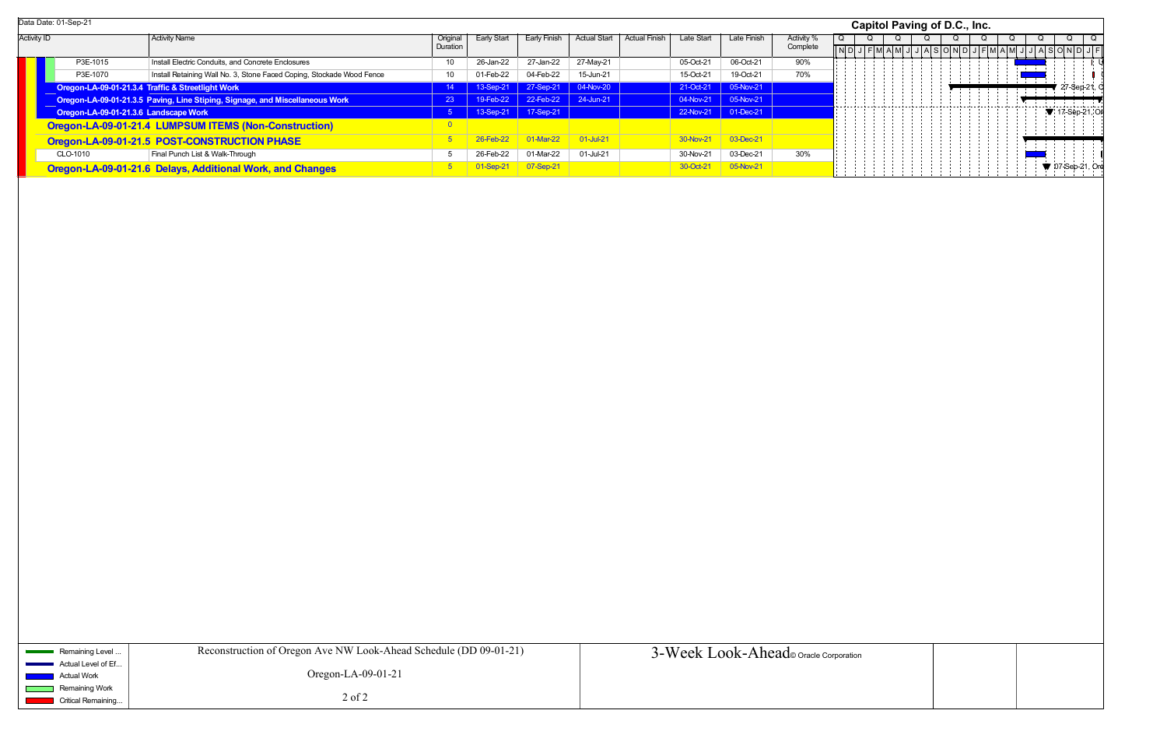Activity ID **Channel Activity Name Activity Name Original Original** Duration Early Start | Early Finish | Actual Start | Actual Finish | Late Start | Late Finish | Activity % **Complete** P3E-1015Install Electric Conduits, and Concrete Enclosures 10 26-Jan-22 27-Jan-22 27-Jan-22 27-May-21 05-Oct-21 06-Oct-21 90% P3E-1070Install Retaining Wall No. 3, Stone Faced Coping, Stockade Wood Fence 10 01-Feb-22 04-Feb-22 15-Jun-21 15-Oct-21 19-Oct-21 70% **Oregon-LA-09-01-21.3.4 Traffic & Streetlight Work** 11 12 12 12 12 12 13 14 13 13-Sep-21 27-Sep-21 04-Nov-20 21-Oct-21 21-Oct-21 05-Nov-21 **Oregon-LA-09-01-21.3.5 Paving, Line Stiping, Signage, and Miscellaneous Work** 23 40-Feb-22 22-Feb-22 24-Jun-21 04-Nov-21 05-Nov-21 05-Nov-21 **Oregon-LA-09-01-21.3.6 Landscape Work 1990 12:00 12:00 13:00 13:00 13:00 13:00 12:00 12:00 13:00 12:00 12:00 12:00 12:00 12:00 12:00 12:00 12:00 12:00 12:00 12:00 12:00 12:00 12:00 12:00 12:00 12:00 12:00 12:00 12:00 12 Oregon-LA-09-01-21.4 LUMPSUM ITEMS (Non-Construction) Department of the CONSTRUCTION Oregon-LA-09-01-21.5 POST-CONSTRUCTION PHASE** 5 26-Feb-22 01-Mar-22 01-Jul-21 30-Nov-21 03-Dec-21 CLO-1010Final Punch List & Walk-Through 6 26-Feb-22 01-Mar-22 01-Mar-22 01-Jul-21 30-Nov-21 03-Dec-21 30% **Oregon-LA-09-01-21.6 Delays, Additional Work, and Changes** 5 01-Sep-21 30-Sep-21 07-Sep-21 30-Oct-21 30-Oct-21 05-Nov-21 O $ND$ QData Date: 01-Sep-21 **Capitol Paving of D.C., Inc.**

| Remaining Level                                     | Reconstruction of Oregon Ave NW Look-Ahead Schedule (DD 09-01-21) | 3-Week Look-Ahead oracle Corporation |
|-----------------------------------------------------|-------------------------------------------------------------------|--------------------------------------|
| Actual Level of Ef                                  |                                                                   |                                      |
| Actual Work                                         | Oregon-LA-09-01-21                                                |                                      |
| Remaining Work                                      |                                                                   |                                      |
| <b>Critical Remaining</b><br><b>Service Service</b> | $2$ of $2$                                                        |                                      |
|                                                     |                                                                   |                                      |

|   |                |   |   |  |              |             | <b>Capitol Paving of D.C., Inc.</b> |   |     |            |  |                |                         |                |               |      |        |   |                |         |                |
|---|----------------|---|---|--|--------------|-------------|-------------------------------------|---|-----|------------|--|----------------|-------------------------|----------------|---------------|------|--------|---|----------------|---------|----------------|
| Q | $\overline{N}$ | J | Q |  | Q<br>$F$ MAM | $\mathsf J$ | J                                   | Q | A S | Q<br>O N D |  | $\overline{Q}$ | $J$ $F$ $M$ $A$ $M$ $J$ | $\overline{Q}$ |               | Q    | JASOND | Q |                | $J$ $F$ | $\overline{Q}$ |
|   |                |   |   |  |              |             |                                     |   |     |            |  |                |                         |                | $\mathcal{A}$ | $\,$ |        |   |                | I,      | ψ              |
|   |                |   |   |  |              |             |                                     |   |     |            |  |                |                         |                |               | ÷    |        |   | 27-Sep-21, C   |         |                |
|   |                |   |   |  |              |             |                                     |   |     |            |  |                |                         |                | ÷,            |      |        |   |                |         |                |
|   |                |   |   |  |              |             |                                     |   |     |            |  |                |                         |                |               |      |        |   | 17-Sep-21, Or  |         |                |
|   |                |   |   |  |              |             |                                     |   |     |            |  |                |                         |                |               |      |        |   |                |         |                |
|   |                |   |   |  |              |             |                                     |   |     |            |  |                |                         |                |               |      |        |   |                |         |                |
|   |                |   |   |  |              |             |                                     |   |     |            |  |                |                         |                |               |      |        |   | 07-Sep-21, Ore |         |                |
|   |                |   |   |  |              |             |                                     |   |     |            |  |                |                         |                |               |      |        |   |                |         |                |
|   |                |   |   |  |              |             |                                     |   |     |            |  |                |                         |                |               |      |        |   |                |         |                |
|   |                |   |   |  |              |             |                                     |   |     |            |  |                |                         |                |               |      |        |   |                |         |                |
|   |                |   |   |  |              |             |                                     |   |     |            |  |                |                         |                |               |      |        |   |                |         |                |
|   |                |   |   |  |              |             |                                     |   |     |            |  |                |                         |                |               |      |        |   |                |         |                |
|   |                |   |   |  |              |             |                                     |   |     |            |  |                |                         |                |               |      |        |   |                |         |                |
|   |                |   |   |  |              |             |                                     |   |     |            |  |                |                         |                |               |      |        |   |                |         |                |
|   |                |   |   |  |              |             |                                     |   |     |            |  |                |                         |                |               |      |        |   |                |         |                |
|   |                |   |   |  |              |             |                                     |   |     |            |  |                |                         |                |               |      |        |   |                |         |                |
|   |                |   |   |  |              |             |                                     |   |     |            |  |                |                         |                |               |      |        |   |                |         |                |
|   |                |   |   |  |              |             |                                     |   |     |            |  |                |                         |                |               |      |        |   |                |         |                |
|   |                |   |   |  |              |             |                                     |   |     |            |  |                |                         |                |               |      |        |   |                |         |                |
|   |                |   |   |  |              |             |                                     |   |     |            |  |                |                         |                |               |      |        |   |                |         |                |
|   |                |   |   |  |              |             |                                     |   |     |            |  |                |                         |                |               |      |        |   |                |         |                |
|   |                |   |   |  |              |             |                                     |   |     |            |  |                |                         |                |               |      |        |   |                |         |                |
|   |                |   |   |  |              |             |                                     |   |     |            |  |                |                         |                |               |      |        |   |                |         |                |
|   |                |   |   |  |              |             |                                     |   |     |            |  |                |                         |                |               |      |        |   |                |         |                |
|   |                |   |   |  |              |             |                                     |   |     |            |  |                |                         |                |               |      |        |   |                |         |                |
|   |                |   |   |  |              |             |                                     |   |     |            |  |                |                         |                |               |      |        |   |                |         |                |
|   |                |   |   |  |              |             |                                     |   |     |            |  |                |                         |                |               |      |        |   |                |         |                |
|   |                |   |   |  |              |             |                                     |   |     |            |  |                |                         |                |               |      |        |   |                |         |                |
|   |                |   |   |  |              |             |                                     |   |     |            |  |                |                         |                |               |      |        |   |                |         |                |
|   |                |   |   |  |              |             |                                     |   |     |            |  |                |                         |                |               |      |        |   |                |         |                |
|   |                |   |   |  |              |             |                                     |   |     |            |  |                |                         |                |               |      |        |   |                |         |                |
|   |                |   |   |  |              |             |                                     |   |     |            |  |                |                         |                |               |      |        |   |                |         |                |
|   |                |   |   |  |              |             |                                     |   |     |            |  |                |                         |                |               |      |        |   |                |         |                |
|   |                |   |   |  |              |             |                                     |   |     |            |  |                |                         |                |               |      |        |   |                |         |                |
|   |                |   |   |  |              |             |                                     |   |     |            |  |                |                         |                |               |      |        |   |                |         |                |
|   |                |   |   |  |              |             |                                     |   |     |            |  |                |                         |                |               |      |        |   |                |         |                |
|   | oration        |   |   |  |              |             |                                     |   |     |            |  |                |                         |                |               |      |        |   |                |         |                |
|   |                |   |   |  |              |             |                                     |   |     |            |  |                |                         |                |               |      |        |   |                |         |                |
|   |                |   |   |  |              |             |                                     |   |     |            |  |                |                         |                |               |      |        |   |                |         |                |
|   |                |   |   |  |              |             |                                     |   |     |            |  |                |                         |                |               |      |        |   |                |         |                |